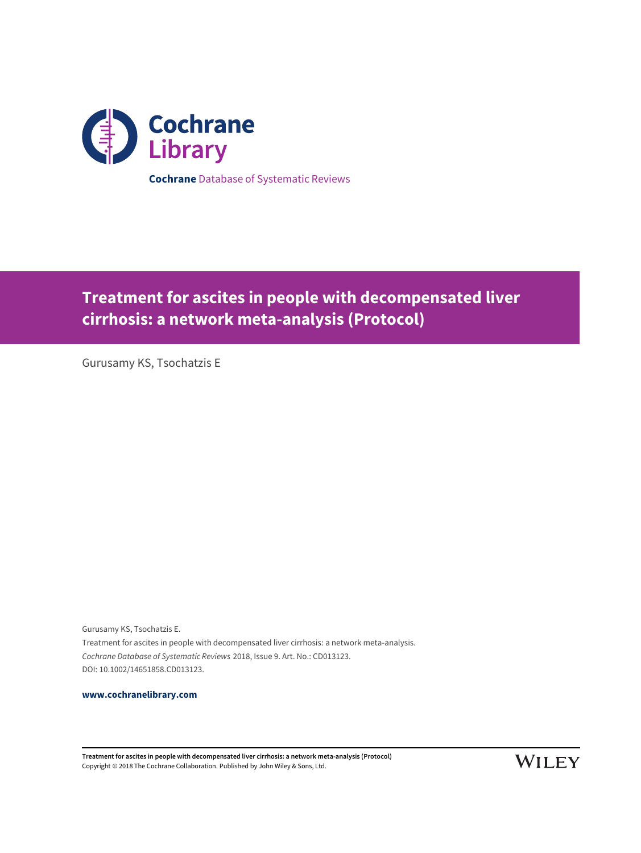

**Treatment for ascites in people with decompensated liver cirrhosis: a network meta-analysis (Protocol)**

Gurusamy KS, Tsochatzis E

Gurusamy KS, Tsochatzis E. Treatment for ascites in people with decompensated liver cirrhosis: a network meta-analysis. Cochrane Database of Systematic Reviews 2018, Issue 9. Art. No.: CD013123. DOI: 10.1002/14651858.CD013123.

**[www.cochranelibrary.com](http://www.cochranelibrary.com)**

**Treatment for ascites in people with decompensated liver cirrhosis: a network meta-analysis (Protocol)** Copyright © 2018 The Cochrane Collaboration. Published by John Wiley & Sons, Ltd.

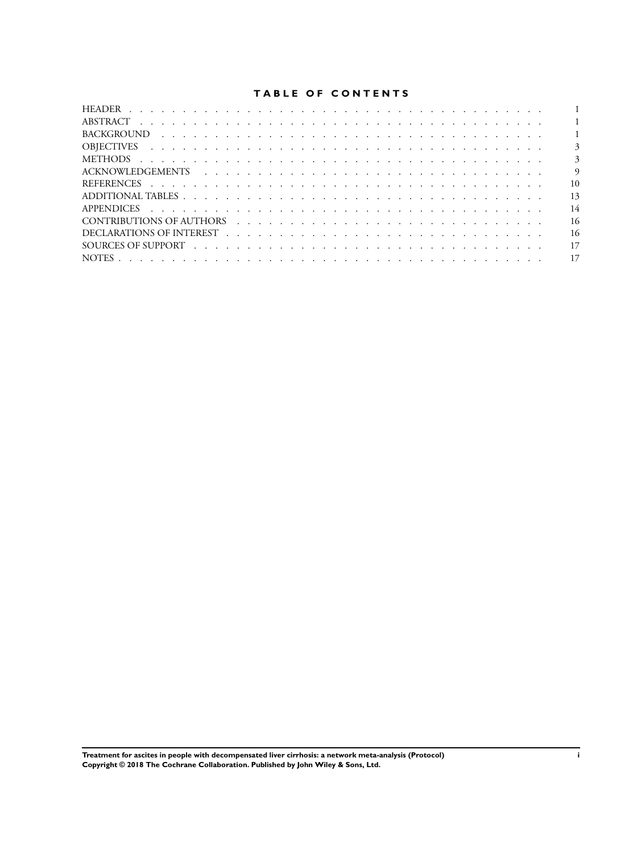# **TABLE OF CONTENTS**

| $\overline{\phantom{0}}$ 1 |
|----------------------------|
| $\blacksquare$             |
| $\overline{1}$             |
| $\overline{\mathcal{E}}$   |
| $\overline{\mathbf{3}}$    |
| -9                         |
| 10                         |
| 13                         |
| 14                         |
| 16                         |
| 16                         |
| 17                         |
| 17                         |

**Treatment for ascites in people with decompensated liver cirrhosis: a network meta-analysis (Protocol) i Copyright © 2018 The Cochrane Collaboration. Published by John Wiley & Sons, Ltd.**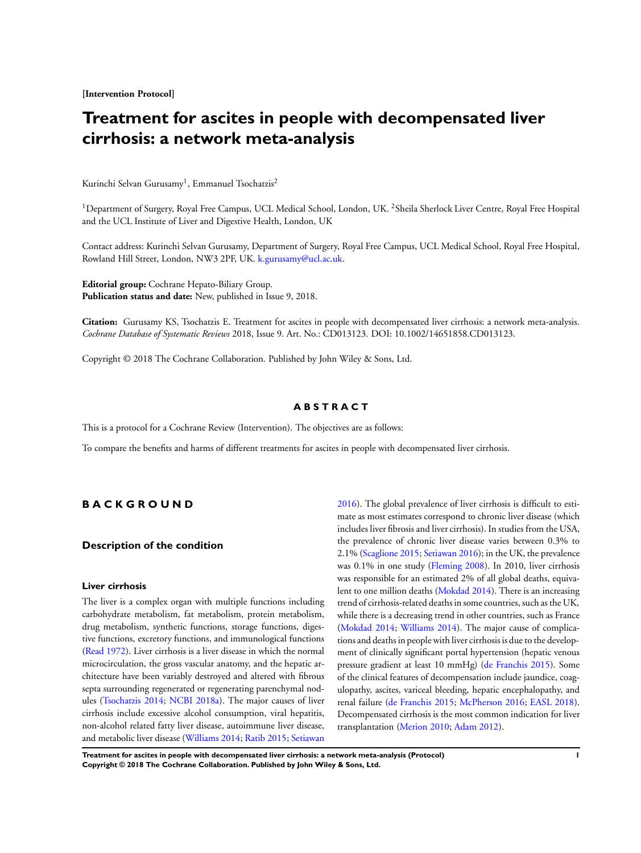<span id="page-2-0"></span>**[Intervention Protocol]**

# **Treatment for ascites in people with decompensated liver cirrhosis: a network meta-analysis**

Kurinchi Selvan Gurusamy $^1$ , Emmanuel Tsochatzis $^2$ 

<sup>1</sup>Department of Surgery, Royal Free Campus, UCL Medical School, London, UK. <sup>2</sup>Sheila Sherlock Liver Centre, Royal Free Hospital and the UCL Institute of Liver and Digestive Health, London, UK

Contact address: Kurinchi Selvan Gurusamy, Department of Surgery, Royal Free Campus, UCL Medical School, Royal Free Hospital, Rowland Hill Street, London, NW3 2PF, UK. [k.gurusamy@ucl.ac.uk.](mailto:k.gurusamy@ucl.ac.uk)

**Editorial group:** Cochrane Hepato-Biliary Group. **Publication status and date:** New, published in Issue 9, 2018.

**Citation:** Gurusamy KS, Tsochatzis E. Treatment for ascites in people with decompensated liver cirrhosis: a network meta-analysis. *Cochrane Database of Systematic Reviews* 2018, Issue 9. Art. No.: CD013123. DOI: 10.1002/14651858.CD013123.

Copyright © 2018 The Cochrane Collaboration. Published by John Wiley & Sons, Ltd.

### **A B S T R A C T**

This is a protocol for a Cochrane Review (Intervention). The objectives are as follows:

To compare the benefits and harms of different treatments for ascites in people with decompensated liver cirrhosis.

# **B A C K G R O U N D**

### **Description of the condition**

### **Liver cirrhosis**

The liver is a complex organ with multiple functions including carbohydrate metabolism, fat metabolism, protein metabolism, drug metabolism, synthetic functions, storage functions, digestive functions, excretory functions, and immunological functions [\(Read 1972\)](#page-11-0). Liver cirrhosis is a liver disease in which the normal microcirculation, the gross vascular anatomy, and the hepatic architecture have been variably destroyed and altered with fibrous septa surrounding regenerated or regenerating parenchymal nodules [\(Tsochatzis 2014;](#page-11-0) [NCBI 2018a\)](#page-11-0). The major causes of liver cirrhosis include excessive alcohol consumption, viral hepatitis, non-alcohol related fatty liver disease, autoimmune liver disease, and metabolic liver disease ([Williams 2014](#page-11-0); [Ratib 2015](#page-11-0); [Setiawan](#page-11-0) [2016](#page-11-0)). The global prevalence of liver cirrhosis is difficult to estimate as most estimates correspond to chronic liver disease (which includes liver fibrosis and liver cirrhosis). In studies from the USA, the prevalence of chronic liver disease varies between 0.3% to 2.1% ([Scaglione 2015](#page-11-0); [Setiawan 2016](#page-11-0)); in the UK, the prevalence was 0.1% in one study [\(Fleming 2008\)](#page-11-0). In 2010, liver cirrhosis was responsible for an estimated 2% of all global deaths, equivalent to one million deaths ([Mokdad 2014](#page-11-0)). There is an increasing trend of cirrhosis-related deaths in some countries, such as the UK, while there is a decreasing trend in other countries, such as France [\(Mokdad 2014;](#page-11-0) [Williams 2014](#page-11-0)). The major cause of complications and deaths in people with liver cirrhosis is due to the development of clinically significant portal hypertension (hepatic venous pressure gradient at least 10 mmHg) [\(de Franchis 2015\)](#page-11-0). Some of the clinical features of decompensation include jaundice, coagulopathy, ascites, variceal bleeding, hepatic encephalopathy, and renal failure [\(de Franchis 2015;](#page-11-0) [McPherson 2016](#page-11-0); [EASL 2018](#page-11-0)). Decompensated cirrhosis is the most common indication for liver transplantation [\(Merion 2010](#page-11-0); [Adam 2012\)](#page-11-0).

**Treatment for ascites in people with decompensated liver cirrhosis: a network meta-analysis (Protocol) 1 Copyright © 2018 The Cochrane Collaboration. Published by John Wiley & Sons, Ltd.**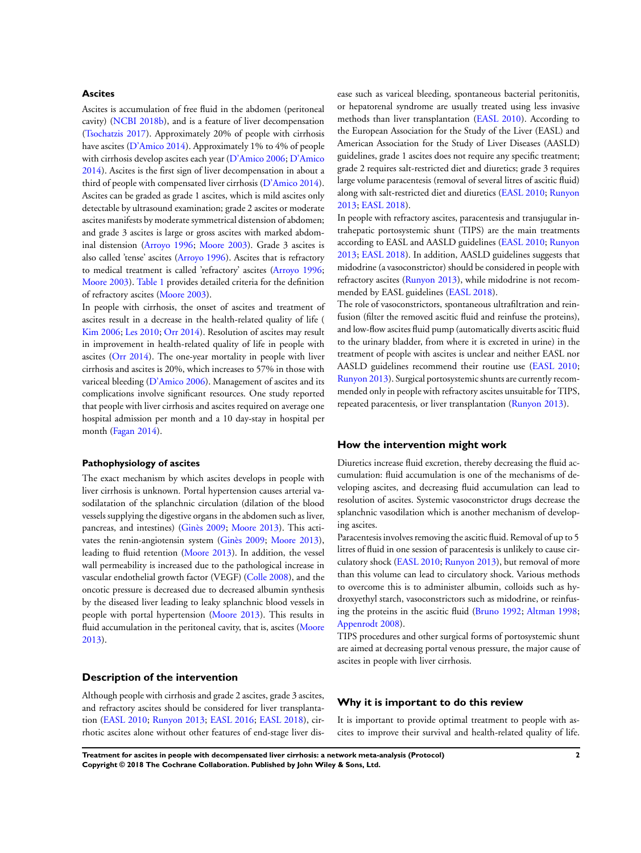### **Ascites**

Ascites is accumulation of free fluid in the abdomen (peritoneal cavity) ([NCBI 2018b](#page-11-0)), and is a feature of liver decompensation [\(Tsochatzis 2017\)](#page-11-0). Approximately 20% of people with cirrhosis have ascites [\(D'Amico 2014](#page-11-0)). Approximately 1% to 4% of people with cirrhosis develop ascites each year [\(D'Amico 2006;](#page-11-0) [D'Amico](#page-11-0) [2014](#page-11-0)). Ascites is the first sign of liver decompensation in about a third of people with compensated liver cirrhosis [\(D'Amico 2014](#page-11-0)). Ascites can be graded as grade 1 ascites, which is mild ascites only detectable by ultrasound examination; grade 2 ascites or moderate ascites manifests by moderate symmetrical distension of abdomen; and grade 3 ascites is large or gross ascites with marked abdominal distension ([Arroyo 1996](#page-11-0); [Moore 2003\)](#page-11-0). Grade 3 ascites is also called 'tense' ascites ([Arroyo 1996\)](#page-11-0). Ascites that is refractory to medical treatment is called 'refractory' ascites ([Arroyo 1996;](#page-11-0) [Moore 2003\)](#page-11-0). [Table 1](#page-15-0) provides detailed criteria for the definition of refractory ascites [\(Moore 2003\)](#page-11-0).

In people with cirrhosis, the onset of ascites and treatment of ascites result in a decrease in the health-related quality of life ( [Kim 2006;](#page-11-0) [Les 2010;](#page-11-0) [Orr 2014](#page-11-0)). Resolution of ascites may result in improvement in health-related quality of life in people with ascites ([Orr 2014](#page-11-0)). The one-year mortality in people with liver cirrhosis and ascites is 20%, which increases to 57% in those with variceal bleeding [\(D'Amico 2006\)](#page-11-0). Management of ascites and its complications involve significant resources. One study reported that people with liver cirrhosis and ascites required on average one hospital admission per month and a 10 day-stay in hospital per month ([Fagan 2014\)](#page-11-0).

#### **Pathophysiology of ascites**

The exact mechanism by which ascites develops in people with liver cirrhosis is unknown. Portal hypertension causes arterial vasodilatation of the splanchnic circulation (dilation of the blood vessels supplying the digestive organs in the abdomen such as liver, pancreas, and intestines) [\(Ginès 2009;](#page-11-0) [Moore 2013\)](#page-11-0). This activates the renin-angiotensin system [\(Ginès 2009;](#page-11-0) [Moore 2013](#page-11-0)), leading to fluid retention [\(Moore 2013](#page-11-0)). In addition, the vessel wall permeability is increased due to the pathological increase in vascular endothelial growth factor (VEGF) [\(Colle 2008\)](#page-11-0), and the oncotic pressure is decreased due to decreased albumin synthesis by the diseased liver leading to leaky splanchnic blood vessels in people with portal hypertension ([Moore 2013](#page-11-0)). This results in fluid accumulation in the peritoneal cavity, that is, ascites [\(Moore](#page-11-0) [2013](#page-11-0)).

### **Description of the intervention**

Although people with cirrhosis and grade 2 ascites, grade 3 ascites, and refractory ascites should be considered for liver transplantation ([EASL 2010;](#page-11-0) [Runyon 2013](#page-11-0); [EASL 2016;](#page-11-0) [EASL 2018\)](#page-11-0), cirrhotic ascites alone without other features of end-stage liver disease such as variceal bleeding, spontaneous bacterial peritonitis, or hepatorenal syndrome are usually treated using less invasive methods than liver transplantation [\(EASL 2010\)](#page-11-0). According to the European Association for the Study of the Liver (EASL) and American Association for the Study of Liver Diseases (AASLD) guidelines, grade 1 ascites does not require any specific treatment; grade 2 requires salt-restricted diet and diuretics; grade 3 requires large volume paracentesis (removal of several litres of ascitic fluid) along with salt-restricted diet and diuretics [\(EASL 2010;](#page-11-0) [Runyon](#page-11-0) [2013](#page-11-0); [EASL 2018](#page-11-0)).

In people with refractory ascites, paracentesis and transjugular intrahepatic portosystemic shunt (TIPS) are the main treatments according to EASL and AASLD guidelines [\(EASL 2010;](#page-11-0) [Runyon](#page-11-0) [2013](#page-11-0); [EASL 2018](#page-11-0)). In addition, AASLD guidelines suggests that midodrine (a vasoconstrictor) should be considered in people with refractory ascites [\(Runyon 2013](#page-11-0)), while midodrine is not recommended by EASL guidelines ([EASL 2018](#page-11-0)).

The role of vasoconstrictors, spontaneous ultrafiltration and reinfusion (filter the removed ascitic fluid and reinfuse the proteins), and low-flow ascites fluid pump (automatically diverts ascitic fluid to the urinary bladder, from where it is excreted in urine) in the treatment of people with ascites is unclear and neither EASL nor AASLD guidelines recommend their routine use [\(EASL 2010;](#page-11-0) [Runyon 2013\)](#page-11-0). Surgical portosystemic shunts are currently recommended only in people with refractory ascites unsuitable for TIPS, repeated paracentesis, or liver transplantation ([Runyon 2013](#page-11-0)).

### **How the intervention might work**

Diuretics increase fluid excretion, thereby decreasing the fluid accumulation: fluid accumulation is one of the mechanisms of developing ascites, and decreasing fluid accumulation can lead to resolution of ascites. Systemic vasoconstrictor drugs decrease the splanchnic vasodilation which is another mechanism of developing ascites.

Paracentesis involves removing the ascitic fluid. Removal of up to 5 litres of fluid in one session of paracentesis is unlikely to cause circulatory shock [\(EASL 2010](#page-11-0); [Runyon 2013\)](#page-11-0), but removal of more than this volume can lead to circulatory shock. Various methods to overcome this is to administer albumin, colloids such as hydroxyethyl starch, vasoconstrictors such as midodrine, or reinfusing the proteins in the ascitic fluid [\(Bruno 1992](#page-11-0); [Altman 1998;](#page-11-0) [Appenrodt 2008](#page-11-0)).

TIPS procedures and other surgical forms of portosystemic shunt are aimed at decreasing portal venous pressure, the major cause of ascites in people with liver cirrhosis.

#### **Why it is important to do this review**

It is important to provide optimal treatment to people with ascites to improve their survival and health-related quality of life.

**Treatment for ascites in people with decompensated liver cirrhosis: a network meta-analysis (Protocol) 2 Copyright © 2018 The Cochrane Collaboration. Published by John Wiley & Sons, Ltd.**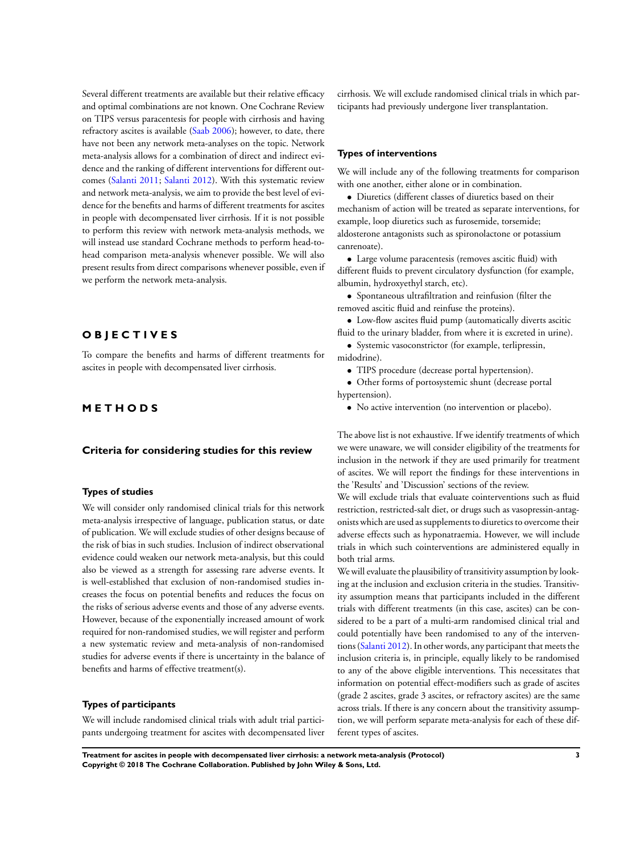Several different treatments are available but their relative efficacy and optimal combinations are not known. One Cochrane Review on TIPS versus paracentesis for people with cirrhosis and having refractory ascites is available [\(Saab 2006\)](#page-11-0); however, to date, there have not been any network meta-analyses on the topic. Network meta-analysis allows for a combination of direct and indirect evidence and the ranking of different interventions for different outcomes [\(Salanti 2011;](#page-11-0) [Salanti 2012\)](#page-11-0). With this systematic review and network meta-analysis, we aim to provide the best level of evidence for the benefits and harms of different treatments for ascites in people with decompensated liver cirrhosis. If it is not possible to perform this review with network meta-analysis methods, we will instead use standard Cochrane methods to perform head-tohead comparison meta-analysis whenever possible. We will also present results from direct comparisons whenever possible, even if we perform the network meta-analysis.

### **O B J E C T I V E S**

To compare the benefits and harms of different treatments for ascites in people with decompensated liver cirrhosis.

# **M E T H O D S**

### **Criteria for considering studies for this review**

### **Types of studies**

We will consider only randomised clinical trials for this network meta-analysis irrespective of language, publication status, or date of publication. We will exclude studies of other designs because of the risk of bias in such studies. Inclusion of indirect observational evidence could weaken our network meta-analysis, but this could also be viewed as a strength for assessing rare adverse events. It is well-established that exclusion of non-randomised studies increases the focus on potential benefits and reduces the focus on the risks of serious adverse events and those of any adverse events. However, because of the exponentially increased amount of work required for non-randomised studies, we will register and perform a new systematic review and meta-analysis of non-randomised studies for adverse events if there is uncertainty in the balance of benefits and harms of effective treatment(s).

#### **Types of participants**

We will include randomised clinical trials with adult trial participants undergoing treatment for ascites with decompensated liver cirrhosis. We will exclude randomised clinical trials in which participants had previously undergone liver transplantation.

### **Types of interventions**

We will include any of the following treatments for comparison with one another, either alone or in combination.

• Diuretics (different classes of diuretics based on their mechanism of action will be treated as separate interventions, for example, loop diuretics such as furosemide, torsemide; aldosterone antagonists such as spironolactone or potassium canrenoate).

• Large volume paracentesis (removes ascitic fluid) with different fluids to prevent circulatory dysfunction (for example, albumin, hydroxyethyl starch, etc).

• Spontaneous ultrafiltration and reinfusion (filter the removed ascitic fluid and reinfuse the proteins).

• Low-flow ascites fluid pump (automatically diverts ascitic fluid to the urinary bladder, from where it is excreted in urine).

• Systemic vasoconstrictor (for example, terlipressin, midodrine).

• TIPS procedure (decrease portal hypertension).

• Other forms of portosystemic shunt (decrease portal hypertension).

• No active intervention (no intervention or placebo).

The above list is not exhaustive. If we identify treatments of which we were unaware, we will consider eligibility of the treatments for inclusion in the network if they are used primarily for treatment of ascites. We will report the findings for these interventions in the 'Results' and 'Discussion' sections of the review.

We will exclude trials that evaluate cointerventions such as fluid restriction, restricted-salt diet, or drugs such as vasopressin-antagonists which are used as supplements to diuretics to overcome their adverse effects such as hyponatraemia. However, we will include trials in which such cointerventions are administered equally in both trial arms.

We will evaluate the plausibility of transitivity assumption by looking at the inclusion and exclusion criteria in the studies. Transitivity assumption means that participants included in the different trials with different treatments (in this case, ascites) can be considered to be a part of a multi-arm randomised clinical trial and could potentially have been randomised to any of the interventions [\(Salanti 2012\)](#page-11-0). In other words, any participant that meets the inclusion criteria is, in principle, equally likely to be randomised to any of the above eligible interventions. This necessitates that information on potential effect-modifiers such as grade of ascites (grade 2 ascites, grade 3 ascites, or refractory ascites) are the same across trials. If there is any concern about the transitivity assumption, we will perform separate meta-analysis for each of these different types of ascites.

**Treatment for ascites in people with decompensated liver cirrhosis: a network meta-analysis (Protocol) 3 Copyright © 2018 The Cochrane Collaboration. Published by John Wiley & Sons, Ltd.**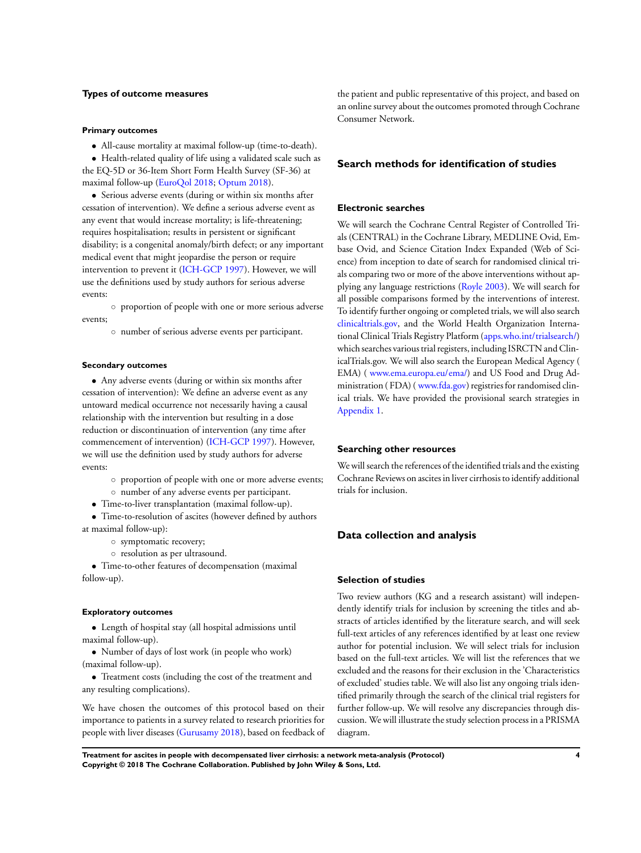#### **Types of outcome measures**

#### **Primary outcomes**

• All-cause mortality at maximal follow-up (time-to-death).

• Health-related quality of life using a validated scale such as the EQ-5D or 36-Item Short Form Health Survey (SF-36) at maximal follow-up [\(EuroQol 2018](#page-11-0); [Optum 2018](#page-11-0)).

• Serious adverse events (during or within six months after cessation of intervention). We define a serious adverse event as any event that would increase mortality; is life-threatening; requires hospitalisation; results in persistent or significant disability; is a congenital anomaly/birth defect; or any important medical event that might jeopardise the person or require intervention to prevent it ([ICH-GCP 1997\)](#page-11-0). However, we will use the definitions used by study authors for serious adverse events:

◦ proportion of people with one or more serious adverse events;

◦ number of serious adverse events per participant.

#### **Secondary outcomes**

• Any adverse events (during or within six months after cessation of intervention): We define an adverse event as any untoward medical occurrence not necessarily having a causal relationship with the intervention but resulting in a dose reduction or discontinuation of intervention (any time after commencement of intervention) [\(ICH-GCP 1997\)](#page-11-0). However, we will use the definition used by study authors for adverse events:

- proportion of people with one or more adverse events;
- number of any adverse events per participant.
- Time-to-liver transplantation (maximal follow-up).

• Time-to-resolution of ascites (however defined by authors at maximal follow-up):

- symptomatic recovery;
- resolution as per ultrasound.

• Time-to-other features of decompensation (maximal follow-up).

#### **Exploratory outcomes**

• Length of hospital stay (all hospital admissions until maximal follow-up).

• Number of days of lost work (in people who work) (maximal follow-up).

• Treatment costs (including the cost of the treatment and any resulting complications).

We have chosen the outcomes of this protocol based on their importance to patients in a survey related to research priorities for people with liver diseases [\(Gurusamy 2018\)](#page-11-0), based on feedback of the patient and public representative of this project, and based on an online survey about the outcomes promoted through Cochrane Consumer Network.

### **Search methods for identification of studies**

### **Electronic searches**

We will search the Cochrane Central Register of Controlled Trials (CENTRAL) in the Cochrane Library, MEDLINE Ovid, Embase Ovid, and Science Citation Index Expanded (Web of Science) from inception to date of search for randomised clinical trials comparing two or more of the above interventions without applying any language restrictions [\(Royle 2003](#page-11-0)). We will search for all possible comparisons formed by the interventions of interest. To identify further ongoing or completed trials, we will also search [clinicaltrials.gov](https://clinicaltrials.gov/), and the World Health Organization International Clinical Trials Registry Platform [\(apps.who.int/trialsearch/](http://apps.who.int/trialsearch/)) which searches various trial registers, including ISRCTN and ClinicalTrials.gov. We will also search the European Medical Agency ( EMA) ( [www.ema.europa.eu/ema/\)](http://www.ema.europa.eu/ema/) and US Food and Drug Administration ( FDA) ( [www.fda.gov\)](http://www.fda.gov) registries for randomised clinical trials. We have provided the provisional search strategies in [Appendix 1.](#page-15-0)

#### **Searching other resources**

We will search the references of the identified trials and the existing Cochrane Reviews on ascites in liver cirrhosis to identify additional trials for inclusion.

### **Data collection and analysis**

#### **Selection of studies**

Two review authors (KG and a research assistant) will independently identify trials for inclusion by screening the titles and abstracts of articles identified by the literature search, and will seek full-text articles of any references identified by at least one review author for potential inclusion. We will select trials for inclusion based on the full-text articles. We will list the references that we excluded and the reasons for their exclusion in the 'Characteristics of excluded' studies table. We will also list any ongoing trials identified primarily through the search of the clinical trial registers for further follow-up. We will resolve any discrepancies through discussion. We will illustrate the study selection process in a PRISMA diagram.

**Treatment for ascites in people with decompensated liver cirrhosis: a network meta-analysis (Protocol) 4 Copyright © 2018 The Cochrane Collaboration. Published by John Wiley & Sons, Ltd.**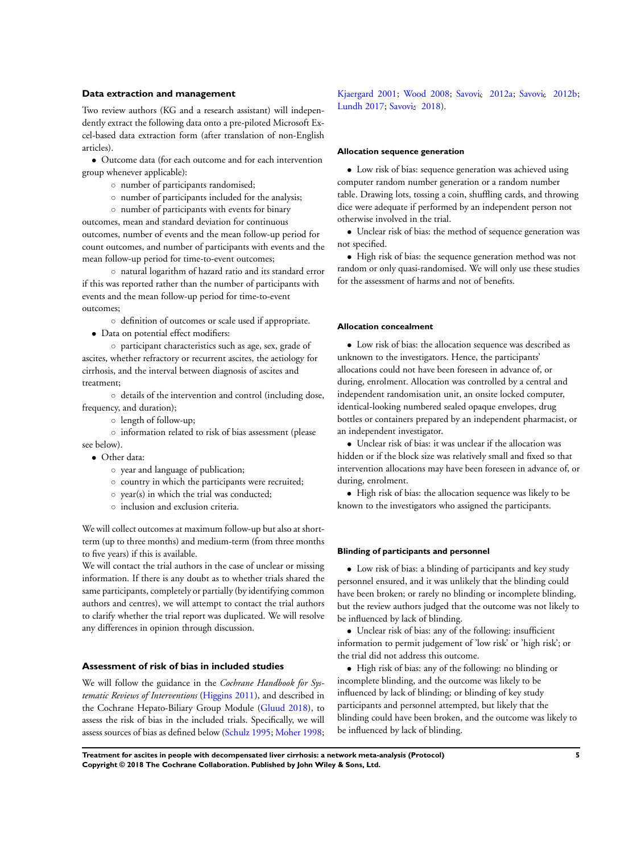### **Data extraction and management**

Two review authors (KG and a research assistant) will independently extract the following data onto a pre-piloted Microsoft Excel-based data extraction form (after translation of non-English articles).

• Outcome data (for each outcome and for each intervention group whenever applicable):

- number of participants randomised;
- number of participants included for the analysis;

◦ number of participants with events for binary outcomes, mean and standard deviation for continuous outcomes, number of events and the mean follow-up period for count outcomes, and number of participants with events and the mean follow-up period for time-to-event outcomes;

◦ natural logarithm of hazard ratio and its standard error if this was reported rather than the number of participants with events and the mean follow-up period for time-to-event outcomes;

◦ definition of outcomes or scale used if appropriate. • Data on potential effect modifiers:

◦ participant characteristics such as age, sex, grade of ascites, whether refractory or recurrent ascites, the aetiology for cirrhosis, and the interval between diagnosis of ascites and treatment;

◦ details of the intervention and control (including dose, frequency, and duration);

- length of follow-up;
- information related to risk of bias assessment (please

see below).

- Other data:
	- year and language of publication;
	- country in which the participants were recruited;
	- year(s) in which the trial was conducted;
	- inclusion and exclusion criteria.

We will collect outcomes at maximum follow-up but also at shortterm (up to three months) and medium-term (from three months to five years) if this is available.

We will contact the trial authors in the case of unclear or missing information. If there is any doubt as to whether trials shared the same participants, completely or partially (by identifying common authors and centres), we will attempt to contact the trial authors to clarify whether the trial report was duplicated. We will resolve any differences in opinion through discussion.

### **Assessment of risk of bias in included studies**

We will follow the guidance in the *Cochrane Handbook for Systematic Reviews of Interventions* [\(Higgins 2011](#page-11-0)), and described in the Cochrane Hepato-Biliary Group Module ([Gluud 2018\)](#page-11-0), to assess the risk of bias in the included trials. Specifically, we will assess sources of bias as defined below ([Schulz 1995;](#page-11-0) [Moher 1998;](#page-11-0) [Kjaergard 2001;](#page-11-0) [Wood 2008](#page-11-0); [Savovi](#page-11-0)c [2012a](#page-11-0); Savovic [2012b;](#page-11-0) [Lundh 2017;](#page-11-0) [Savovi](#page-11-0): [2018](#page-11-0)).

#### **Allocation sequence generation**

• Low risk of bias: sequence generation was achieved using computer random number generation or a random number table. Drawing lots, tossing a coin, shuffling cards, and throwing dice were adequate if performed by an independent person not otherwise involved in the trial.

• Unclear risk of bias: the method of sequence generation was not specified.

• High risk of bias: the sequence generation method was not random or only quasi-randomised. We will only use these studies for the assessment of harms and not of benefits.

#### **Allocation concealment**

• Low risk of bias: the allocation sequence was described as unknown to the investigators. Hence, the participants' allocations could not have been foreseen in advance of, or during, enrolment. Allocation was controlled by a central and independent randomisation unit, an onsite locked computer, identical-looking numbered sealed opaque envelopes, drug bottles or containers prepared by an independent pharmacist, or an independent investigator.

• Unclear risk of bias: it was unclear if the allocation was hidden or if the block size was relatively small and fixed so that intervention allocations may have been foreseen in advance of, or during, enrolment.

• High risk of bias: the allocation sequence was likely to be known to the investigators who assigned the participants.

#### **Blinding of participants and personnel**

• Low risk of bias: a blinding of participants and key study personnel ensured, and it was unlikely that the blinding could have been broken; or rarely no blinding or incomplete blinding, but the review authors judged that the outcome was not likely to be influenced by lack of blinding.

• Unclear risk of bias: any of the following: insufficient information to permit judgement of 'low risk' or 'high risk'; or the trial did not address this outcome.

• High risk of bias: any of the following: no blinding or incomplete blinding, and the outcome was likely to be influenced by lack of blinding; or blinding of key study participants and personnel attempted, but likely that the blinding could have been broken, and the outcome was likely to be influenced by lack of blinding.

**Treatment for ascites in people with decompensated liver cirrhosis: a network meta-analysis (Protocol) 5 Copyright © 2018 The Cochrane Collaboration. Published by John Wiley & Sons, Ltd.**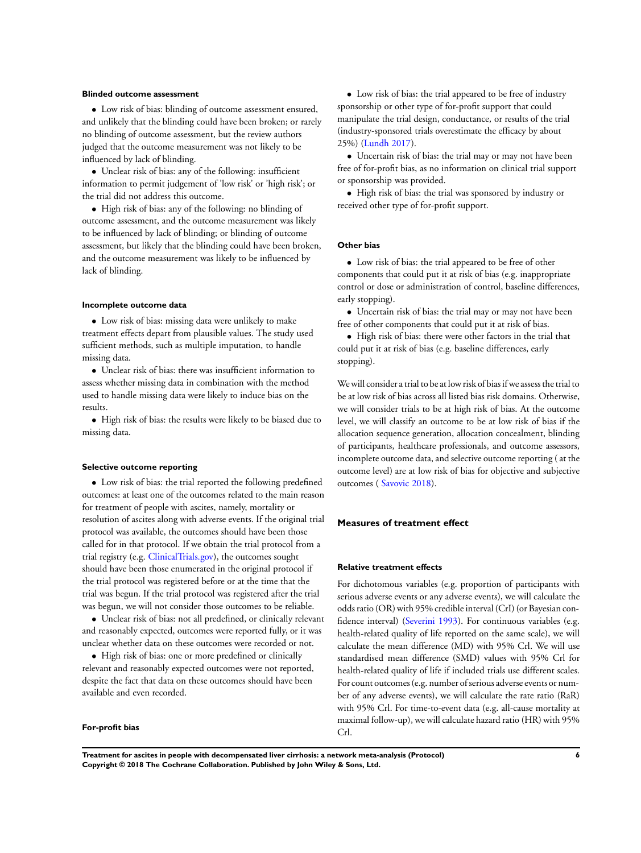#### **Blinded outcome assessment**

• Low risk of bias: blinding of outcome assessment ensured, and unlikely that the blinding could have been broken; or rarely no blinding of outcome assessment, but the review authors judged that the outcome measurement was not likely to be influenced by lack of blinding.

• Unclear risk of bias: any of the following: insufficient information to permit judgement of 'low risk' or 'high risk'; or the trial did not address this outcome.

• High risk of bias: any of the following: no blinding of outcome assessment, and the outcome measurement was likely to be influenced by lack of blinding; or blinding of outcome assessment, but likely that the blinding could have been broken, and the outcome measurement was likely to be influenced by lack of blinding.

#### **Incomplete outcome data**

• Low risk of bias: missing data were unlikely to make treatment effects depart from plausible values. The study used sufficient methods, such as multiple imputation, to handle missing data.

• Unclear risk of bias: there was insufficient information to assess whether missing data in combination with the method used to handle missing data were likely to induce bias on the results.

• High risk of bias: the results were likely to be biased due to missing data.

#### **Selective outcome reporting**

• Low risk of bias: the trial reported the following predefined outcomes: at least one of the outcomes related to the main reason for treatment of people with ascites, namely, mortality or resolution of ascites along with adverse events. If the original trial protocol was available, the outcomes should have been those called for in that protocol. If we obtain the trial protocol from a trial registry (e.g. [ClinicalTrials.gov](http://ClinicalTrials.gov)), the outcomes sought should have been those enumerated in the original protocol if the trial protocol was registered before or at the time that the trial was begun. If the trial protocol was registered after the trial was begun, we will not consider those outcomes to be reliable.

• Unclear risk of bias: not all predefined, or clinically relevant and reasonably expected, outcomes were reported fully, or it was unclear whether data on these outcomes were recorded or not.

• High risk of bias: one or more predefined or clinically relevant and reasonably expected outcomes were not reported, despite the fact that data on these outcomes should have been available and even recorded.

#### **For-profit bias**

• Low risk of bias: the trial appeared to be free of industry sponsorship or other type of for-profit support that could manipulate the trial design, conductance, or results of the trial (industry-sponsored trials overestimate the efficacy by about 25%) ([Lundh 2017](#page-11-0)).

• Uncertain risk of bias: the trial may or may not have been free of for-profit bias, as no information on clinical trial support or sponsorship was provided.

• High risk of bias: the trial was sponsored by industry or received other type of for-profit support.

#### **Other bias**

• Low risk of bias: the trial appeared to be free of other components that could put it at risk of bias (e.g. inappropriate control or dose or administration of control, baseline differences, early stopping).

• Uncertain risk of bias: the trial may or may not have been free of other components that could put it at risk of bias.

• High risk of bias: there were other factors in the trial that could put it at risk of bias (e.g. baseline differences, early stopping).

We will consider a trial to be at low risk of bias if we assess the trial to be at low risk of bias across all listed bias risk domains. Otherwise, we will consider trials to be at high risk of bias. At the outcome level, we will classify an outcome to be at low risk of bias if the allocation sequence generation, allocation concealment, blinding of participants, healthcare professionals, and outcome assessors, incomplete outcome data, and selective outcome reporting ( at the outcome level) are at low risk of bias for objective and subjective outcomes ( [Savovic 2018](https://archie.cochrane.org/sections/documents/viewDiff?documentPK=z1707271130075722681993463338015%26versionPK1=z1806241858072857675958590274691%26versionPK2=z1807130502575771364091778494178#REF-Savovic-2018)).

#### **Measures of treatment effect**

#### **Relative treatment effects**

For dichotomous variables (e.g. proportion of participants with serious adverse events or any adverse events), we will calculate the odds ratio (OR) with 95% credible interval (CrI) (or Bayesian confidence interval) [\(Severini 1993\)](#page-11-0). For continuous variables (e.g. health-related quality of life reported on the same scale), we will calculate the mean difference (MD) with 95% Crl. We will use standardised mean difference (SMD) values with 95% Crl for health-related quality of life if included trials use different scales. For count outcomes (e.g. number of serious adverse events or number of any adverse events), we will calculate the rate ratio (RaR) with 95% Crl. For time-to-event data (e.g. all-cause mortality at maximal follow-up), we will calculate hazard ratio (HR) with 95% Crl.

**Treatment for ascites in people with decompensated liver cirrhosis: a network meta-analysis (Protocol) 6 Copyright © 2018 The Cochrane Collaboration. Published by John Wiley & Sons, Ltd.**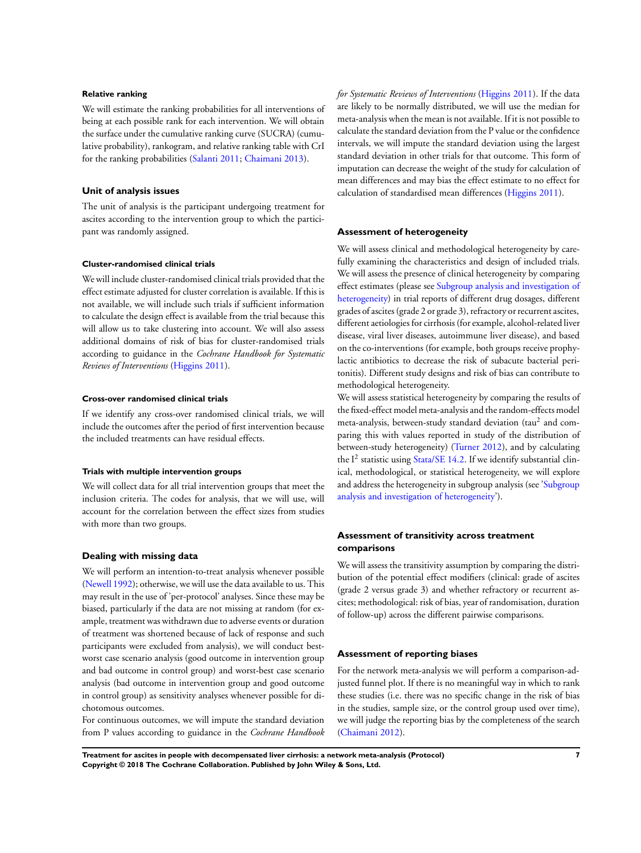#### **Relative ranking**

We will estimate the ranking probabilities for all interventions of being at each possible rank for each intervention. We will obtain the surface under the cumulative ranking curve (SUCRA) (cumulative probability), rankogram, and relative ranking table with CrI for the ranking probabilities ([Salanti 2011](#page-11-0); [Chaimani 2013\)](#page-11-0).

#### **Unit of analysis issues**

The unit of analysis is the participant undergoing treatment for ascites according to the intervention group to which the participant was randomly assigned.

#### **Cluster-randomised clinical trials**

We will include cluster-randomised clinical trials provided that the effect estimate adjusted for cluster correlation is available. If this is not available, we will include such trials if sufficient information to calculate the design effect is available from the trial because this will allow us to take clustering into account. We will also assess additional domains of risk of bias for cluster-randomised trials according to guidance in the *Cochrane Handbook for Systematic Reviews of Interventions* ([Higgins 2011\)](#page-11-0).

### **Cross-over randomised clinical trials**

If we identify any cross-over randomised clinical trials, we will include the outcomes after the period of first intervention because the included treatments can have residual effects.

#### **Trials with multiple intervention groups**

We will collect data for all trial intervention groups that meet the inclusion criteria. The codes for analysis, that we will use, will account for the correlation between the effect sizes from studies with more than two groups.

#### **Dealing with missing data**

We will perform an intention-to-treat analysis whenever possible [\(Newell 1992](#page-11-0)); otherwise, we will use the data available to us. This may result in the use of 'per-protocol' analyses. Since these may be biased, particularly if the data are not missing at random (for example, treatment was withdrawn due to adverse events or duration of treatment was shortened because of lack of response and such participants were excluded from analysis), we will conduct bestworst case scenario analysis (good outcome in intervention group and bad outcome in control group) and worst-best case scenario analysis (bad outcome in intervention group and good outcome in control group) as sensitivity analyses whenever possible for dichotomous outcomes.

For continuous outcomes, we will impute the standard deviation from P values according to guidance in the *Cochrane Handbook* *for Systematic Reviews of Interventions* ([Higgins 2011\)](#page-11-0). If the data are likely to be normally distributed, we will use the median for meta-analysis when the mean is not available. If it is not possible to calculate the standard deviation from the P value or the confidence intervals, we will impute the standard deviation using the largest standard deviation in other trials for that outcome. This form of imputation can decrease the weight of the study for calculation of mean differences and may bias the effect estimate to no effect for calculation of standardised mean differences [\(Higgins 2011\)](#page-11-0).

#### **Assessment of heterogeneity**

We will assess clinical and methodological heterogeneity by carefully examining the characteristics and design of included trials. We will assess the presence of clinical heterogeneity by comparing effect estimates (please see [Subgroup analysis and investigation of](#page-2-0) [heterogeneity\)](#page-2-0) in trial reports of different drug dosages, different grades of ascites (grade 2 or grade 3), refractory or recurrent ascites, different aetiologies for cirrhosis (for example, alcohol-related liver disease, viral liver diseases, autoimmune liver disease), and based on the co-interventions (for example, both groups receive prophylactic antibiotics to decrease the risk of subacute bacterial peritonitis). Different study designs and risk of bias can contribute to methodological heterogeneity.

We will assess statistical heterogeneity by comparing the results of the fixed-effect model meta-analysis and the random-effects model meta-analysis, between-study standard deviation (tau<sup>2</sup> and comparing this with values reported in study of the distribution of between-study heterogeneity) ([Turner 2012\)](#page-11-0), and by calculating the I<sup>2</sup> statistic using [Stata/SE 14.2](#page-11-0). If we identify substantial clinical, methodological, or statistical heterogeneity, we will explore and address the heterogeneity in subgroup analysis (see ['Subgroup](#page-2-0) [analysis and investigation of heterogeneity](#page-2-0)').

### **Assessment of transitivity across treatment comparisons**

We will assess the transitivity assumption by comparing the distribution of the potential effect modifiers (clinical: grade of ascites (grade 2 versus grade 3) and whether refractory or recurrent ascites; methodological: risk of bias, year of randomisation, duration of follow-up) across the different pairwise comparisons.

#### **Assessment of reporting biases**

For the network meta-analysis we will perform a comparison-adjusted funnel plot. If there is no meaningful way in which to rank these studies (i.e. there was no specific change in the risk of bias in the studies, sample size, or the control group used over time), we will judge the reporting bias by the completeness of the search [\(Chaimani 2012\)](#page-11-0).

**Treatment for ascites in people with decompensated liver cirrhosis: a network meta-analysis (Protocol) 7 Copyright © 2018 The Cochrane Collaboration. Published by John Wiley & Sons, Ltd.**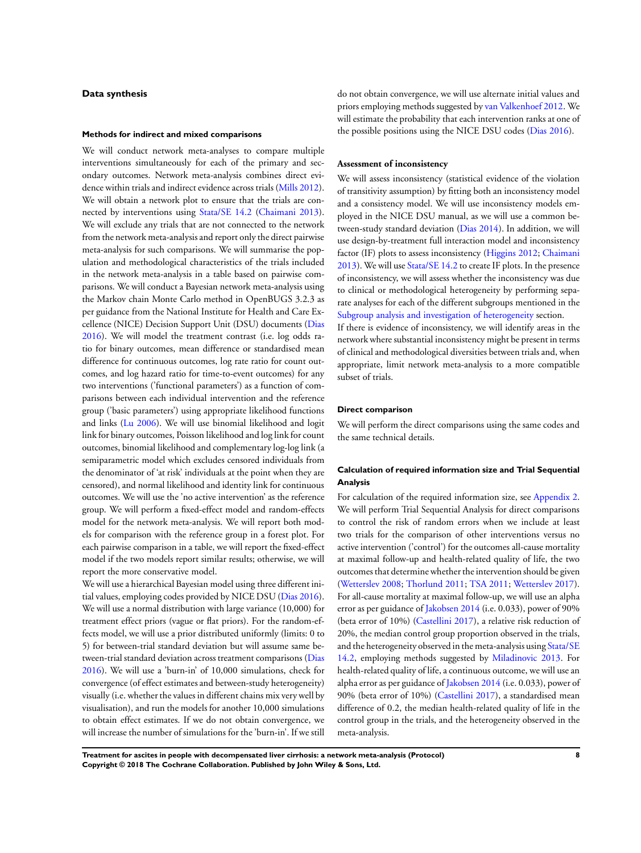### **Data synthesis**

#### **Methods for indirect and mixed comparisons**

We will conduct network meta-analyses to compare multiple interventions simultaneously for each of the primary and secondary outcomes. Network meta-analysis combines direct evidence within trials and indirect evidence across trials ([Mills 2012](#page-11-0)). We will obtain a network plot to ensure that the trials are connected by interventions using [Stata/SE 14.2](#page-11-0) [\(Chaimani 2013](#page-11-0)). We will exclude any trials that are not connected to the network from the network meta-analysis and report only the direct pairwise meta-analysis for such comparisons. We will summarise the population and methodological characteristics of the trials included in the network meta-analysis in a table based on pairwise comparisons. We will conduct a Bayesian network meta-analysis using the Markov chain Monte Carlo method in OpenBUGS 3.2.3 as per guidance from the National Institute for Health and Care Excellence (NICE) Decision Support Unit (DSU) documents [\(Dias](#page-11-0) [2016](#page-11-0)). We will model the treatment contrast (i.e. log odds ratio for binary outcomes, mean difference or standardised mean difference for continuous outcomes, log rate ratio for count outcomes, and log hazard ratio for time-to-event outcomes) for any two interventions ('functional parameters') as a function of comparisons between each individual intervention and the reference group ('basic parameters') using appropriate likelihood functions and links [\(Lu 2006](#page-11-0)). We will use binomial likelihood and logit link for binary outcomes, Poisson likelihood and log link for count outcomes, binomial likelihood and complementary log-log link (a semiparametric model which excludes censored individuals from the denominator of 'at risk' individuals at the point when they are censored), and normal likelihood and identity link for continuous outcomes. We will use the 'no active intervention' as the reference group. We will perform a fixed-effect model and random-effects model for the network meta-analysis. We will report both models for comparison with the reference group in a forest plot. For each pairwise comparison in a table, we will report the fixed-effect model if the two models report similar results; otherwise, we will report the more conservative model.

We will use a hierarchical Bayesian model using three different initial values, employing codes provided by NICE DSU ([Dias 2016](#page-11-0)). We will use a normal distribution with large variance (10,000) for treatment effect priors (vague or flat priors). For the random-effects model, we will use a prior distributed uniformly (limits: 0 to 5) for between-trial standard deviation but will assume same between-trial standard deviation across treatment comparisons [\(Dias](#page-11-0) [2016](#page-11-0)). We will use a 'burn-in' of 10,000 simulations, check for convergence (of effect estimates and between-study heterogeneity) visually (i.e. whether the values in different chains mix very well by visualisation), and run the models for another 10,000 simulations to obtain effect estimates. If we do not obtain convergence, we will increase the number of simulations for the 'burn-in'. If we still do not obtain convergence, we will use alternate initial values and priors employing methods suggested by [van Valkenhoef 2012.](#page-11-0) We will estimate the probability that each intervention ranks at one of the possible positions using the NICE DSU codes ([Dias 2016](#page-11-0)).

#### **Assessment of inconsistency**

We will assess inconsistency (statistical evidence of the violation of transitivity assumption) by fitting both an inconsistency model and a consistency model. We will use inconsistency models employed in the NICE DSU manual, as we will use a common between-study standard deviation ([Dias 2014\)](#page-11-0). In addition, we will use design-by-treatment full interaction model and inconsistency factor (IF) plots to assess inconsistency ([Higgins 2012](#page-11-0); [Chaimani](#page-11-0) [2013](#page-11-0)). We will use [Stata/SE 14.2](#page-11-0) to create IF plots. In the presence of inconsistency, we will assess whether the inconsistency was due to clinical or methodological heterogeneity by performing separate analyses for each of the different subgroups mentioned in the [Subgroup analysis and investigation of heterogeneity](#page-2-0) section.

If there is evidence of inconsistency, we will identify areas in the network where substantial inconsistency might be present in terms of clinical and methodological diversities between trials and, when appropriate, limit network meta-analysis to a more compatible subset of trials.

### **Direct comparison**

We will perform the direct comparisons using the same codes and the same technical details.

### **Calculation of required information size and Trial Sequential Analysis**

For calculation of the required information size, see [Appendix 2.](#page-17-0) We will perform Trial Sequential Analysis for direct comparisons to control the risk of random errors when we include at least two trials for the comparison of other interventions versus no active intervention ('control') for the outcomes all-cause mortality at maximal follow-up and health-related quality of life, the two outcomes that determine whether the intervention should be given [\(Wetterslev 2008](#page-11-0); [Thorlund 2011](#page-11-0); [TSA 2011](#page-11-0); [Wetterslev 2017](#page-11-0)). For all-cause mortality at maximal follow-up, we will use an alpha error as per guidance of [Jakobsen 2014](#page-11-0) (i.e. 0.033), power of 90% (beta error of 10%) [\(Castellini 2017\)](#page-11-0), a relative risk reduction of 20%, the median control group proportion observed in the trials, and the heterogeneity observed in the meta-analysis using [Stata/SE](#page-11-0) [14.2,](#page-11-0) employing methods suggested by [Miladinovic 2013](#page-11-0). For health-related quality of life, a continuous outcome, we will use an alpha error as per guidance of [Jakobsen 2014](#page-11-0) (i.e. 0.033), power of 90% (beta error of 10%) [\(Castellini 2017\)](#page-11-0), a standardised mean difference of 0.2, the median health-related quality of life in the control group in the trials, and the heterogeneity observed in the meta-analysis.

**Treatment for ascites in people with decompensated liver cirrhosis: a network meta-analysis (Protocol) 8 Copyright © 2018 The Cochrane Collaboration. Published by John Wiley & Sons, Ltd.**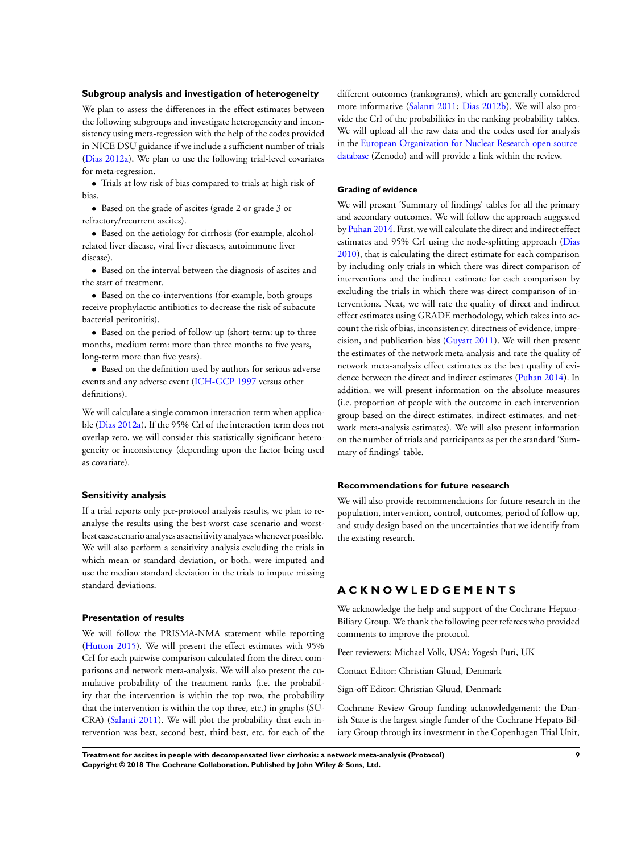### **Subgroup analysis and investigation of heterogeneity**

We plan to assess the differences in the effect estimates between the following subgroups and investigate heterogeneity and inconsistency using meta-regression with the help of the codes provided in NICE DSU guidance if we include a sufficient number of trials [\(Dias 2012a](#page-11-0)). We plan to use the following trial-level covariates for meta-regression.

• Trials at low risk of bias compared to trials at high risk of bias.

• Based on the grade of ascites (grade 2 or grade 3 or refractory/recurrent ascites).

• Based on the aetiology for cirrhosis (for example, alcoholrelated liver disease, viral liver diseases, autoimmune liver disease).

• Based on the interval between the diagnosis of ascites and the start of treatment.

• Based on the co-interventions (for example, both groups receive prophylactic antibiotics to decrease the risk of subacute bacterial peritonitis).

• Based on the period of follow-up (short-term: up to three months, medium term: more than three months to five years, long-term more than five years).

• Based on the definition used by authors for serious adverse events and any adverse event [\(ICH-GCP 1997](#page-11-0) versus other definitions).

We will calculate a single common interaction term when applicable [\(Dias 2012a](#page-11-0)). If the 95% Crl of the interaction term does not overlap zero, we will consider this statistically significant heterogeneity or inconsistency (depending upon the factor being used as covariate).

#### **Sensitivity analysis**

If a trial reports only per-protocol analysis results, we plan to reanalyse the results using the best-worst case scenario and worstbest case scenario analyses as sensitivity analyses whenever possible. We will also perform a sensitivity analysis excluding the trials in which mean or standard deviation, or both, were imputed and use the median standard deviation in the trials to impute missing standard deviations.

### **Presentation of results**

We will follow the PRISMA-NMA statement while reporting [\(Hutton 2015\)](#page-11-0). We will present the effect estimates with 95% CrI for each pairwise comparison calculated from the direct comparisons and network meta-analysis. We will also present the cumulative probability of the treatment ranks (i.e. the probability that the intervention is within the top two, the probability that the intervention is within the top three, etc.) in graphs (SU-CRA) [\(Salanti 2011\)](#page-11-0). We will plot the probability that each intervention was best, second best, third best, etc. for each of the

different outcomes (rankograms), which are generally considered more informative ([Salanti 2011;](#page-11-0) [Dias 2012b](#page-11-0)). We will also provide the CrI of the probabilities in the ranking probability tables. We will upload all the raw data and the codes used for analysis in the [European Organization for Nuclear Research open source](https://zenodo.org/) [database](https://zenodo.org/) (Zenodo) and will provide a link within the review.

### **Grading of evidence**

We will present 'Summary of findings' tables for all the primary and secondary outcomes. We will follow the approach suggested by [Puhan 2014.](#page-11-0) First, we will calculate the direct and indirect effect estimates and 95% CrI using the node-splitting approach [\(Dias](#page-11-0) [2010](#page-11-0)), that is calculating the direct estimate for each comparison by including only trials in which there was direct comparison of interventions and the indirect estimate for each comparison by excluding the trials in which there was direct comparison of interventions. Next, we will rate the quality of direct and indirect effect estimates using GRADE methodology, which takes into account the risk of bias, inconsistency, directness of evidence, imprecision, and publication bias ([Guyatt 2011\)](#page-11-0). We will then present the estimates of the network meta-analysis and rate the quality of network meta-analysis effect estimates as the best quality of evidence between the direct and indirect estimates ([Puhan 2014](#page-11-0)). In addition, we will present information on the absolute measures (i.e. proportion of people with the outcome in each intervention group based on the direct estimates, indirect estimates, and network meta-analysis estimates). We will also present information on the number of trials and participants as per the standard 'Summary of findings' table.

#### **Recommendations for future research**

We will also provide recommendations for future research in the population, intervention, control, outcomes, period of follow-up, and study design based on the uncertainties that we identify from the existing research.

# **A C K N O W L E D G E M E N T S**

We acknowledge the help and support of the Cochrane Hepato-Biliary Group. We thank the following peer referees who provided comments to improve the protocol.

Peer reviewers: Michael Volk, USA; Yogesh Puri, UK

Contact Editor: Christian Gluud, Denmark

Sign-off Editor: Christian Gluud, Denmark

Cochrane Review Group funding acknowledgement: the Danish State is the largest single funder of the Cochrane Hepato-Biliary Group through its investment in the Copenhagen Trial Unit,

**Treatment for ascites in people with decompensated liver cirrhosis: a network meta-analysis (Protocol) 9 Copyright © 2018 The Cochrane Collaboration. Published by John Wiley & Sons, Ltd.**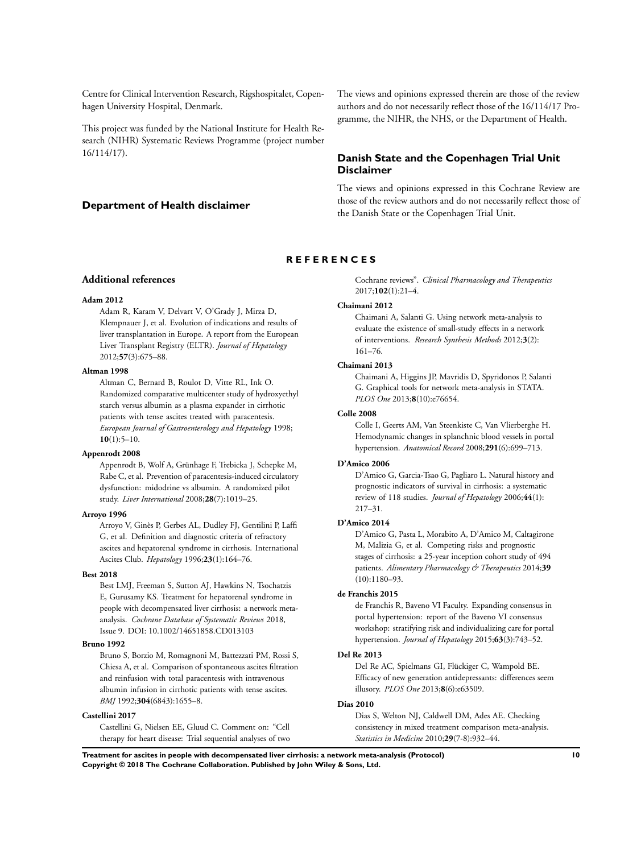<span id="page-11-0"></span>Centre for Clinical Intervention Research, Rigshospitalet, Copenhagen University Hospital, Denmark.

This project was funded by the National Institute for Health Research (NIHR) Systematic Reviews Programme (project number 16/114/17).

### **Department of Health disclaimer**

The views and opinions expressed therein are those of the review authors and do not necessarily reflect those of the 16/114/17 Programme, the NIHR, the NHS, or the Department of Health.

### **Danish State and the Copenhagen Trial Unit Disclaimer**

The views and opinions expressed in this Cochrane Review are those of the review authors and do not necessarily reflect those of the Danish State or the Copenhagen Trial Unit.

### **R E F E R E N C E S**

**Additional references**

#### **Adam 2012**

Adam R, Karam V, Delvart V, O'Grady J, Mirza D, Klempnauer J, et al. Evolution of indications and results of liver transplantation in Europe. A report from the European Liver Transplant Registry (ELTR). *Journal of Hepatology* 2012;**57**(3):675–88.

#### **Altman 1998**

Altman C, Bernard B, Roulot D, Vitte RL, Ink O. Randomized comparative multicenter study of hydroxyethyl starch versus albumin as a plasma expander in cirrhotic patients with tense ascites treated with paracentesis. *European Journal of Gastroenterology and Hepatology* 1998; **10**(1):5–10.

### **Appenrodt 2008**

Appenrodt B, Wolf A, Grünhage F, Trebicka J, Schepke M, Rabe C, et al. Prevention of paracentesis-induced circulatory dysfunction: midodrine vs albumin. A randomized pilot study. *Liver International* 2008;**28**(7):1019–25.

### **Arroyo 1996**

Arroyo V, Ginès P, Gerbes AL, Dudley FJ, Gentilini P, Laffi G, et al. Definition and diagnostic criteria of refractory ascites and hepatorenal syndrome in cirrhosis. International Ascites Club. *Hepatology* 1996;**23**(1):164–76.

#### **Best 2018**

Best LMJ, Freeman S, Sutton AJ, Hawkins N, Tsochatzis E, Gurusamy KS. Treatment for hepatorenal syndrome in people with decompensated liver cirrhosis: a network metaanalysis. *Cochrane Database of Systematic Reviews* 2018, Issue 9. DOI: 10.1002/14651858.CD013103

#### **Bruno 1992**

Bruno S, Borzio M, Romagnoni M, Battezzati PM, Rossi S, Chiesa A, et al. Comparison of spontaneous ascites filtration and reinfusion with total paracentesis with intravenous albumin infusion in cirrhotic patients with tense ascites. *BMJ* 1992;**304**(6843):1655–8.

#### **Castellini 2017**

Castellini G, Nielsen EE, Gluud C. Comment on: "Cell therapy for heart disease: Trial sequential analyses of two Cochrane reviews". *Clinical Pharmacology and Therapeutics* 2017;**102**(1):21–4.

#### **Chaimani 2012**

Chaimani A, Salanti G. Using network meta-analysis to evaluate the existence of small-study effects in a network of interventions. *Research Synthesis Methods* 2012;**3**(2): 161–76.

#### **Chaimani 2013**

Chaimani A, Higgins JP, Mavridis D, Spyridonos P, Salanti G. Graphical tools for network meta-analysis in STATA. *PLOS One* 2013;**8**(10):e76654.

### **Colle 2008**

Colle I, Geerts AM, Van Steenkiste C, Van Vlierberghe H. Hemodynamic changes in splanchnic blood vessels in portal hypertension. *Anatomical Record* 2008;**291**(6):699–713.

#### **D'Amico 2006**

D'Amico G, Garcia-Tsao G, Pagliaro L. Natural history and prognostic indicators of survival in cirrhosis: a systematic review of 118 studies. *Journal of Hepatology* 2006;**44**(1): 217–31.

#### **D'Amico 2014**

D'Amico G, Pasta L, Morabito A, D'Amico M, Caltagirone M, Malizia G, et al. Competing risks and prognostic stages of cirrhosis: a 25-year inception cohort study of 494 patients. *Alimentary Pharmacology & Therapeutics* 2014;**39** (10):1180–93.

#### **de Franchis 2015**

de Franchis R, Baveno VI Faculty. Expanding consensus in portal hypertension: report of the Baveno VI consensus workshop: stratifying risk and individualizing care for portal hypertension. *Journal of Hepatology* 2015;**63**(3):743–52.

#### **Del Re 2013**

Del Re AC, Spielmans GI, Flückiger C, Wampold BE. Efficacy of new generation antidepressants: differences seem illusory. *PLOS One* 2013;**8**(6):e63509.

#### **Dias 2010**

Dias S, Welton NJ, Caldwell DM, Ades AE. Checking consistency in mixed treatment comparison meta-analysis. *Statistics in Medicine* 2010;**29**(7-8):932–44.

**Treatment for ascites in people with decompensated liver cirrhosis: a network meta-analysis (Protocol) 10 Copyright © 2018 The Cochrane Collaboration. Published by John Wiley & Sons, Ltd.**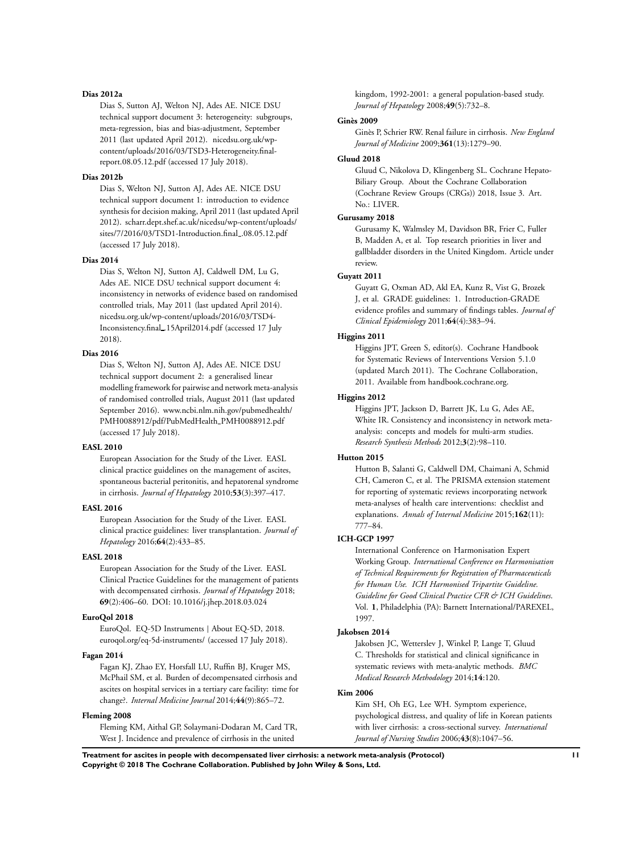#### **Dias 2012a**

Dias S, Sutton AJ, Welton NJ, Ades AE. NICE DSU technical support document 3: heterogeneity: subgroups, meta-regression, bias and bias-adjustment, September 2011 (last updated April 2012). nicedsu.org.uk/wpcontent/uploads/2016/03/TSD3-Heterogeneity.finalreport.08.05.12.pdf (accessed 17 July 2018).

#### **Dias 2012b**

Dias S, Welton NJ, Sutton AJ, Ades AE. NICE DSU technical support document 1: introduction to evidence synthesis for decision making, April 2011 (last updated April 2012). scharr.dept.shef.ac.uk/nicedsu/wp-content/uploads/ sites/7/2016/03/TSD1-Introduction.final ..08.05.12.pdf (accessed 17 July 2018).

#### **Dias 2014**

Dias S, Welton NJ, Sutton AJ, Caldwell DM, Lu G, Ades AE. NICE DSU technical support document 4: inconsistency in networks of evidence based on randomised controlled trials, May 2011 (last updated April 2014). nicedsu.org.uk/wp-content/uploads/2016/03/TSD4- Inconsistency.final .15April2014.pdf (accessed 17 July 2018).

### **Dias 2016**

Dias S, Welton NJ, Sutton AJ, Ades AE. NICE DSU technical support document 2: a generalised linear modelling framework for pairwise and network meta-analysis of randomised controlled trials, August 2011 (last updated September 2016). www.ncbi.nlm.nih.gov/pubmedhealth/ PMH0088912/pdf/PubMedHealth PMH0088912.pdf (accessed 17 July 2018).

#### **EASL 2010**

European Association for the Study of the Liver. EASL clinical practice guidelines on the management of ascites, spontaneous bacterial peritonitis, and hepatorenal syndrome in cirrhosis. *Journal of Hepatology* 2010;**53**(3):397–417.

#### **EASL 2016**

European Association for the Study of the Liver. EASL clinical practice guidelines: liver transplantation. *Journal of Hepatology* 2016;**64**(2):433–85.

#### **EASL 2018**

European Association for the Study of the Liver. EASL Clinical Practice Guidelines for the management of patients with decompensated cirrhosis. *Journal of Hepatology* 2018; **69**(2):406–60. DOI: 10.1016/j.jhep.2018.03.024

#### **EuroQol 2018**

EuroQol. EQ-5D Instruments | About EQ-5D, 2018. euroqol.org/eq-5d-instruments/ (accessed 17 July 2018).

### **Fagan 2014**

Fagan KJ, Zhao EY, Horsfall LU, Ruffin BJ, Kruger MS, McPhail SM, et al. Burden of decompensated cirrhosis and ascites on hospital services in a tertiary care facility: time for change?. *Internal Medicine Journal* 2014;**44**(9):865–72.

## **Fleming 2008**

Fleming KM, Aithal GP, Solaymani-Dodaran M, Card TR, West J. Incidence and prevalence of cirrhosis in the united

kingdom, 1992-2001: a general population-based study. *Journal of Hepatology* 2008;**49**(5):732–8.

#### **Ginès 2009**

Ginès P, Schrier RW. Renal failure in cirrhosis. *New England Journal of Medicine* 2009;**361**(13):1279–90.

#### **Gluud 2018**

Gluud C, Nikolova D, Klingenberg SL. Cochrane Hepato-Biliary Group. About the Cochrane Collaboration (Cochrane Review Groups (CRGs)) 2018, Issue 3. Art. No.: LIVER.

### **Gurusamy 2018**

Gurusamy K, Walmsley M, Davidson BR, Frier C, Fuller B, Madden A, et al. Top research priorities in liver and gallbladder disorders in the United Kingdom. Article under review.

#### **Guyatt 2011**

Guyatt G, Oxman AD, Akl EA, Kunz R, Vist G, Brozek J, et al. GRADE guidelines: 1. Introduction-GRADE evidence profiles and summary of findings tables. *Journal of Clinical Epidemiology* 2011;**64**(4):383–94.

### **Higgins 2011**

Higgins JPT, Green S, editor(s). Cochrane Handbook for Systematic Reviews of Interventions Version 5.1.0 (updated March 2011). The Cochrane Collaboration, 2011. Available from handbook.cochrane.org.

### **Higgins 2012**

Higgins JPT, Jackson D, Barrett JK, Lu G, Ades AE, White IR. Consistency and inconsistency in network metaanalysis: concepts and models for multi-arm studies. *Research Synthesis Methods* 2012;**3**(2):98–110.

#### **Hutton 2015**

Hutton B, Salanti G, Caldwell DM, Chaimani A, Schmid CH, Cameron C, et al. The PRISMA extension statement for reporting of systematic reviews incorporating network meta-analyses of health care interventions: checklist and explanations. *Annals of Internal Medicine* 2015;**162**(11): 777–84.

### **ICH-GCP 1997**

International Conference on Harmonisation Expert Working Group. *International Conference on Harmonisation of Technical Requirements for Registration of Pharmaceuticals for Human Use. ICH Harmonised Tripartite Guideline. Guideline for Good Clinical Practice CFR & ICH Guidelines*. Vol. **1**, Philadelphia (PA): Barnett International/PAREXEL, 1997.

#### **Jakobsen 2014**

Jakobsen JC, Wetterslev J, Winkel P, Lange T, Gluud C. Thresholds for statistical and clinical significance in systematic reviews with meta-analytic methods. *BMC Medical Research Methodology* 2014;**14**:120.

### **Kim 2006**

Kim SH, Oh EG, Lee WH. Symptom experience, psychological distress, and quality of life in Korean patients with liver cirrhosis: a cross-sectional survey. *International Journal of Nursing Studies* 2006;**43**(8):1047–56.

**Treatment for ascites in people with decompensated liver cirrhosis: a network meta-analysis (Protocol) 11 Copyright © 2018 The Cochrane Collaboration. Published by John Wiley & Sons, Ltd.**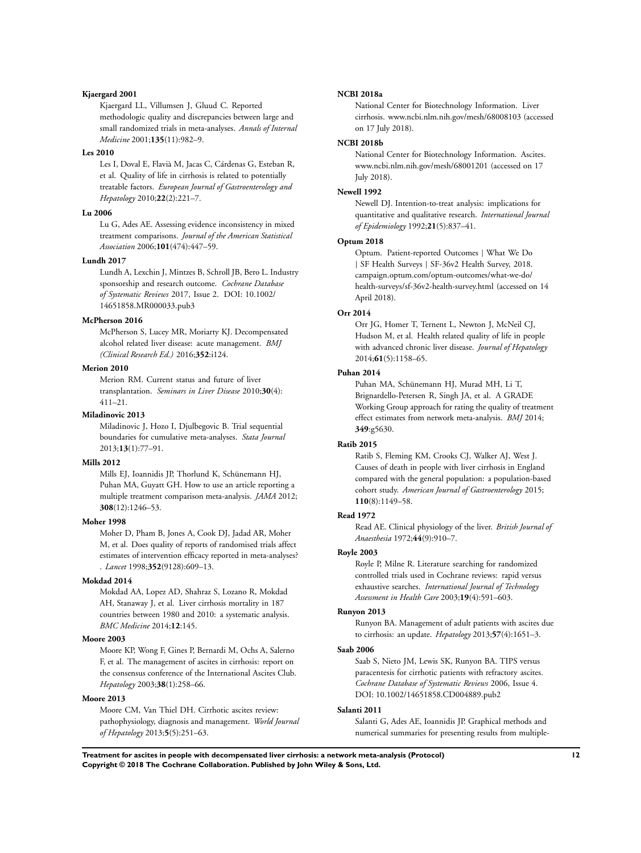#### **Kjaergard 2001**

Kjaergard LL, Villumsen J, Gluud C. Reported methodologic quality and discrepancies between large and small randomized trials in meta-analyses. *Annals of Internal Medicine* 2001;**135**(11):982–9.

#### **Les 2010**

Les I, Doval E, Flavià M, Jacas C, Cárdenas G, Esteban R, et al. Quality of life in cirrhosis is related to potentially treatable factors. *European Journal of Gastroenterology and Hepatology* 2010;**22**(2):221–7.

#### **Lu 2006**

Lu G, Ades AE. Assessing evidence inconsistency in mixed treatment comparisons. *Journal of the American Statistical Association* 2006;**101**(474):447–59.

#### **Lundh 2017**

Lundh A, Lexchin J, Mintzes B, Schroll JB, Bero L. Industry sponsorship and research outcome. *Cochrane Database of Systematic Reviews* 2017, Issue 2. DOI: 10.1002/ 14651858.MR000033.pub3

#### **McPherson 2016**

McPherson S, Lucey MR, Moriarty KJ. Decompensated alcohol related liver disease: acute management. *BMJ (Clinical Research Ed.)* 2016;**352**:i124.

### **Merion 2010**

Merion RM. Current status and future of liver transplantation. *Seminars in Liver Disease* 2010;**30**(4):  $411 - 21$ 

#### **Miladinovic 2013**

Miladinovic J, Hozo I, Djulbegovic B. Trial sequential boundaries for cumulative meta-analyses. *Stata Journal* 2013;**13**(1):77–91.

#### **Mills 2012**

Mills EJ, Ioannidis JP, Thorlund K, Schünemann HJ, Puhan MA, Guyatt GH. How to use an article reporting a multiple treatment comparison meta-analysis. *JAMA* 2012; **308**(12):1246–53.

#### **Moher 1998**

Moher D, Pham B, Jones A, Cook DJ, Jadad AR, Moher M, et al. Does quality of reports of randomised trials affect estimates of intervention efficacy reported in meta-analyses? . *Lancet* 1998;**352**(9128):609–13.

#### **Mokdad 2014**

Mokdad AA, Lopez AD, Shahraz S, Lozano R, Mokdad AH, Stanaway J, et al. Liver cirrhosis mortality in 187 countries between 1980 and 2010: a systematic analysis. *BMC Medicine* 2014;**12**:145.

#### **Moore 2003**

Moore KP, Wong F, Gines P, Bernardi M, Ochs A, Salerno F, et al. The management of ascites in cirrhosis: report on the consensus conference of the International Ascites Club. *Hepatology* 2003;**38**(1):258–66.

#### **Moore 2013**

Moore CM, Van Thiel DH. Cirrhotic ascites review: pathophysiology, diagnosis and management. *World Journal of Hepatology* 2013;**5**(5):251–63.

#### **NCBI 2018a**

National Center for Biotechnology Information. Liver cirrhosis. www.ncbi.nlm.nih.gov/mesh/68008103 (accessed on 17 July 2018).

#### **NCBI 2018b**

National Center for Biotechnology Information. Ascites. www.ncbi.nlm.nih.gov/mesh/68001201 (accessed on 17 July 2018).

### **Newell 1992**

Newell DJ. Intention-to-treat analysis: implications for quantitative and qualitative research. *International Journal of Epidemiology* 1992;**21**(5):837–41.

### **Optum 2018**

Optum. Patient-reported Outcomes | What We Do | SF Health Surveys | SF-36v2 Health Survey, 2018. campaign.optum.com/optum-outcomes/what-we-do/ health-surveys/sf-36v2-health-survey.html (accessed on 14 April 2018).

#### **Orr 2014**

Orr JG, Homer T, Ternent L, Newton J, McNeil CJ, Hudson M, et al. Health related quality of life in people with advanced chronic liver disease. *Journal of Hepatology* 2014;**61**(5):1158–65.

### **Puhan 2014**

Puhan MA, Schünemann HJ, Murad MH, Li T, Brignardello-Petersen R, Singh JA, et al. A GRADE Working Group approach for rating the quality of treatment effect estimates from network meta-analysis. *BMJ* 2014; **349**:g5630.

#### **Ratib 2015**

Ratib S, Fleming KM, Crooks CJ, Walker AJ, West J. Causes of death in people with liver cirrhosis in England compared with the general population: a population-based cohort study. *American Journal of Gastroenterology* 2015; **110**(8):1149–58.

#### **Read 1972**

Read AE. Clinical physiology of the liver. *British Journal of Anaesthesia* 1972;**44**(9):910–7.

#### **Royle 2003**

Royle P, Milne R. Literature searching for randomized controlled trials used in Cochrane reviews: rapid versus exhaustive searches. *International Journal of Technology Assessment in Health Care* 2003;**19**(4):591–603.

#### **Runyon 2013**

Runyon BA. Management of adult patients with ascites due to cirrhosis: an update. *Hepatology* 2013;**57**(4):1651–3.

#### **Saab 2006**

Saab S, Nieto JM, Lewis SK, Runyon BA. TIPS versus paracentesis for cirrhotic patients with refractory ascites. *Cochrane Database of Systematic Reviews* 2006, Issue 4. DOI: 10.1002/14651858.CD004889.pub2

#### **Salanti 2011**

Salanti G, Ades AE, Ioannidis JP. Graphical methods and numerical summaries for presenting results from multiple-

**Treatment for ascites in people with decompensated liver cirrhosis: a network meta-analysis (Protocol) 12 Copyright © 2018 The Cochrane Collaboration. Published by John Wiley & Sons, Ltd.**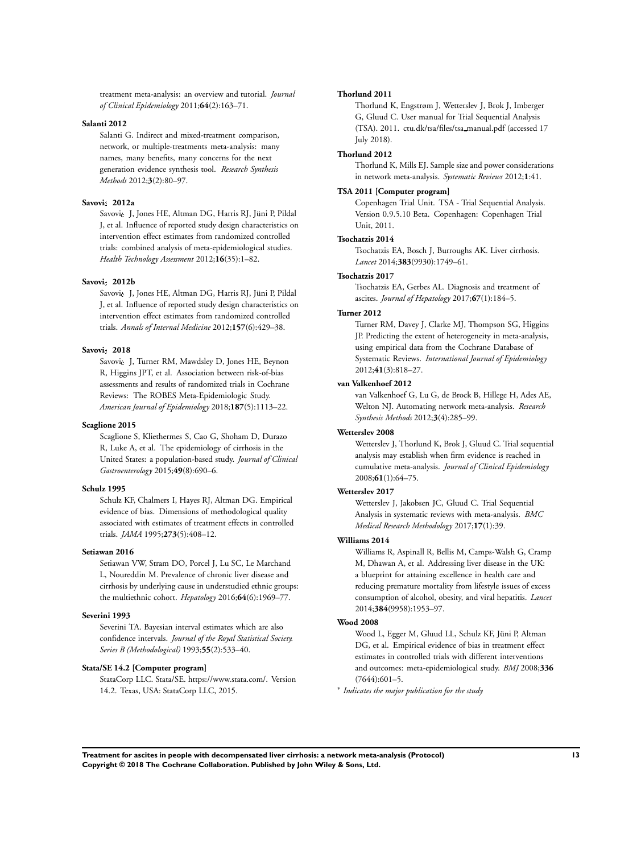treatment meta-analysis: an overview and tutorial. *Journal of Clinical Epidemiology* 2011;**64**(2):163–71.

#### **Salanti 2012**

Salanti G. Indirect and mixed-treatment comparison, network, or multiple-treatments meta-analysis: many names, many benefits, many concerns for the next generation evidence synthesis tool. *Research Synthesis Methods* 2012;**3**(2):80–97.

### **Savovi 2012a**

Savović J, Jones HE, Altman DG, Harris RJ, Jüni P, Pildal J, et al. Influence of reported study design characteristics on intervention effect estimates from randomized controlled trials: combined analysis of meta-epidemiological studies. *Health Technology Assessment* 2012;**16**(35):1–82.

### **Savovi 2012b**

Savovic J, Jones HE, Altman DG, Harris RJ, Jüni P, Pildal J, et al. Influence of reported study design characteristics on intervention effect estimates from randomized controlled trials. *Annals of Internal Medicine* 2012;**157**(6):429–38.

### **Savovi 2018**

Savović J, Turner RM, Mawdsley D, Jones HE, Beynon R, Higgins JPT, et al. Association between risk-of-bias assessments and results of randomized trials in Cochrane Reviews: The ROBES Meta-Epidemiologic Study. *American Journal of Epidemiology* 2018;**187**(5):1113–22.

#### **Scaglione 2015**

Scaglione S, Kliethermes S, Cao G, Shoham D, Durazo R, Luke A, et al. The epidemiology of cirrhosis in the United States: a population-based study. *Journal of Clinical Gastroenterology* 2015;**49**(8):690–6.

#### **Schulz 1995**

Schulz KF, Chalmers I, Hayes RJ, Altman DG. Empirical evidence of bias. Dimensions of methodological quality associated with estimates of treatment effects in controlled trials. *JAMA* 1995;**273**(5):408–12.

#### **Setiawan 2016**

Setiawan VW, Stram DO, Porcel J, Lu SC, Le Marchand L, Noureddin M. Prevalence of chronic liver disease and cirrhosis by underlying cause in understudied ethnic groups: the multiethnic cohort. *Hepatology* 2016;**64**(6):1969–77.

#### **Severini 1993**

Severini TA. Bayesian interval estimates which are also confidence intervals. *Journal of the Royal Statistical Society. Series B (Methodological)* 1993;**55**(2):533–40.

### **Stata/SE 14.2 [Computer program]**

StataCorp LLC. Stata/SE. https://www.stata.com/. Version 14.2. Texas, USA: StataCorp LLC, 2015.

#### **Thorlund 2011**

Thorlund K, Engstrøm J, Wetterslev J, Brok J, Imberger G, Gluud C. User manual for Trial Sequential Analysis (TSA). 2011. ctu.dk/tsa/files/tsa manual.pdf (accessed 17 July 2018).

#### **Thorlund 2012**

Thorlund K, Mills EJ. Sample size and power considerations in network meta-analysis. *Systematic Reviews* 2012;**1**:41.

### **TSA 2011 [Computer program]**

Copenhagen Trial Unit. TSA - Trial Sequential Analysis. Version 0.9.5.10 Beta. Copenhagen: Copenhagen Trial Unit, 2011.

#### **Tsochatzis 2014**

Tsochatzis EA, Bosch J, Burroughs AK. Liver cirrhosis. *Lancet* 2014;**383**(9930):1749–61.

#### **Tsochatzis 2017**

Tsochatzis EA, Gerbes AL. Diagnosis and treatment of ascites. *Journal of Hepatology* 2017;**67**(1):184–5.

#### **Turner 2012**

Turner RM, Davey J, Clarke MJ, Thompson SG, Higgins JP. Predicting the extent of heterogeneity in meta-analysis, using empirical data from the Cochrane Database of Systematic Reviews. *International Journal of Epidemiology* 2012;**41**(3):818–27.

#### **van Valkenhoef 2012**

van Valkenhoef G, Lu G, de Brock B, Hillege H, Ades AE, Welton NJ. Automating network meta-analysis. *Research Synthesis Methods* 2012;**3**(4):285–99.

#### **Wetterslev 2008**

Wetterslev J, Thorlund K, Brok J, Gluud C. Trial sequential analysis may establish when firm evidence is reached in cumulative meta-analysis. *Journal of Clinical Epidemiology* 2008;**61**(1):64–75.

#### **Wetterslev 2017**

Wetterslev J, Jakobsen JC, Gluud C. Trial Sequential Analysis in systematic reviews with meta-analysis. *BMC Medical Research Methodology* 2017;**17**(1):39.

#### **Williams 2014**

Williams R, Aspinall R, Bellis M, Camps-Walsh G, Cramp M, Dhawan A, et al. Addressing liver disease in the UK: a blueprint for attaining excellence in health care and reducing premature mortality from lifestyle issues of excess consumption of alcohol, obesity, and viral hepatitis. *Lancet* 2014;**384**(9958):1953–97.

#### **Wood 2008**

Wood L, Egger M, Gluud LL, Schulz KF, Jüni P, Altman DG, et al. Empirical evidence of bias in treatment effect estimates in controlled trials with different interventions and outcomes: meta-epidemiological study. *BMJ* 2008;**336** (7644):601–5.

∗ *Indicates the major publication for the study*

**Treatment for ascites in people with decompensated liver cirrhosis: a network meta-analysis (Protocol) 13 Copyright © 2018 The Cochrane Collaboration. Published by John Wiley & Sons, Ltd.**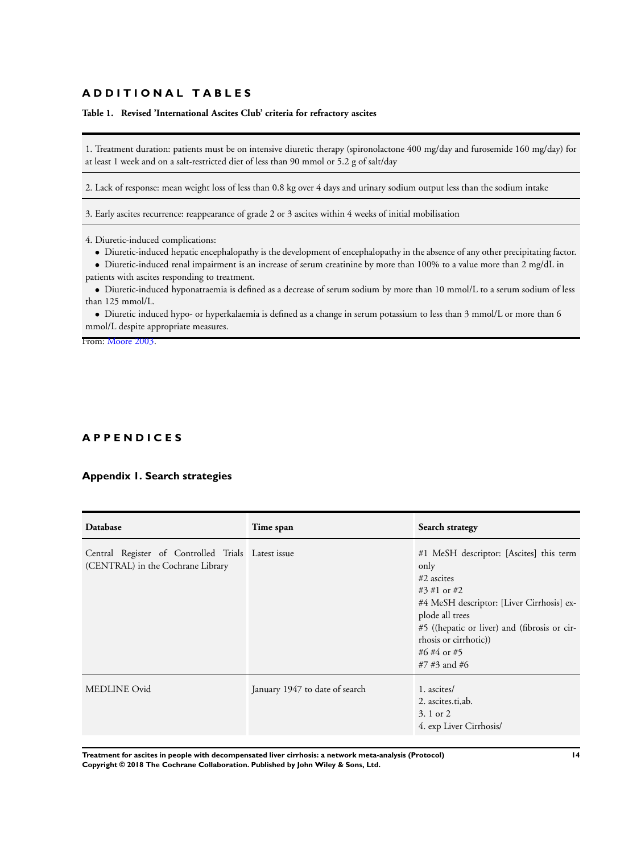### <span id="page-15-0"></span>**A D D I T I O N A L T A B L E S**

### **Table 1. Revised 'International Ascites Club' criteria for refractory ascites**

1. Treatment duration: patients must be on intensive diuretic therapy (spironolactone 400 mg/day and furosemide 160 mg/day) for at least 1 week and on a salt-restricted diet of less than 90 mmol or 5.2 g of salt/day

2. Lack of response: mean weight loss of less than 0.8 kg over 4 days and urinary sodium output less than the sodium intake

3. Early ascites recurrence: reappearance of grade 2 or 3 ascites within 4 weeks of initial mobilisation

4. Diuretic-induced complications:

- Diuretic-induced hepatic encephalopathy is the development of encephalopathy in the absence of any other precipitating factor.
- Diuretic-induced renal impairment is an increase of serum creatinine by more than 100% to a value more than 2 mg/dL in patients with ascites responding to treatment.

• Diuretic-induced hyponatraemia is defined as a decrease of serum sodium by more than 10 mmol/L to a serum sodium of less than 125 mmol/L.

• Diuretic induced hypo- or hyperkalaemia is defined as a change in serum potassium to less than 3 mmol/L or more than 6 mmol/L despite appropriate measures.

From: [Moore 2003](#page-11-0).

# **A P P E N D I C E S**

### **Appendix 1. Search strategies**

| Database                                                                                | Time span                      | Search strategy                                                                                                                                                                                                                                        |
|-----------------------------------------------------------------------------------------|--------------------------------|--------------------------------------------------------------------------------------------------------------------------------------------------------------------------------------------------------------------------------------------------------|
| Central Register of Controlled Trials Latest issue<br>(CENTRAL) in the Cochrane Library |                                | #1 MeSH descriptor: [Ascites] this term<br>only<br>$#2$ ascites<br>#3 #1 or #2<br>#4 MeSH descriptor: [Liver Cirrhosis] ex-<br>plode all trees<br>#5 ((hepatic or liver) and (fibrosis or cir-<br>rhosis or cirrhotic))<br>#6 #4 or #5<br>#7 #3 and #6 |
| <b>MEDLINE</b> Ovid                                                                     | January 1947 to date of search | 1. ascites/<br>2. ascites.ti,ab.<br>3. 1 or 2<br>4. exp Liver Cirrhosis/                                                                                                                                                                               |

**Treatment for ascites in people with decompensated liver cirrhosis: a network meta-analysis (Protocol) 14 Copyright © 2018 The Cochrane Collaboration. Published by John Wiley & Sons, Ltd.**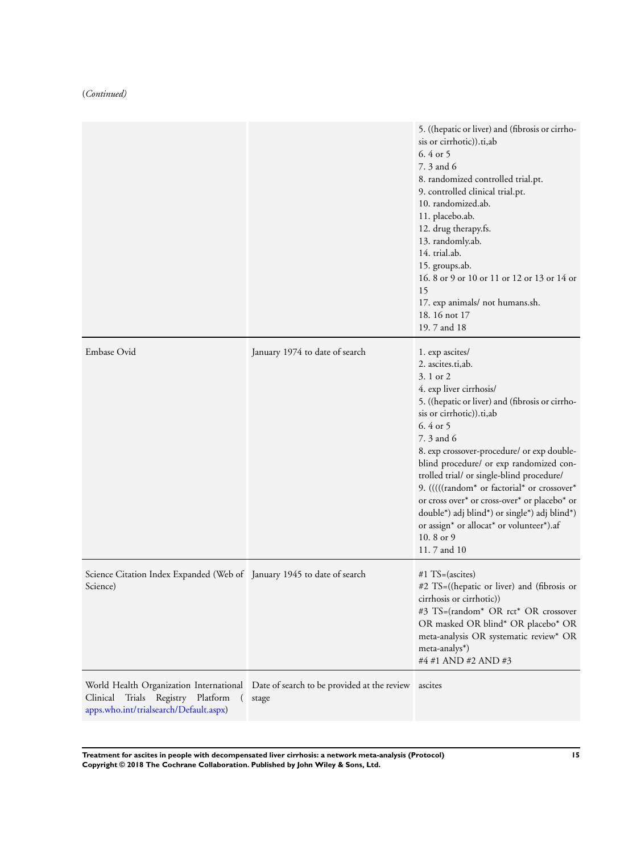(*Continued)*

|                                                                                                  |                                                                                                      | 5. ((hepatic or liver) and (fibrosis or cirrho-<br>sis or cirrhotic)).ti,ab<br>6.4 or 5<br>7. 3 and 6<br>8. randomized controlled trial.pt.<br>9. controlled clinical trial.pt.<br>10. randomized.ab.<br>11. placebo.ab.<br>12. drug therapy.fs.<br>13. randomly.ab.<br>14. trial.ab.<br>15. groups.ab.<br>16.8 or 9 or 10 or 11 or 12 or 13 or 14 or<br>15<br>17. exp animals/ not humans.sh.<br>18.16 not 17<br>19.7 and 18                                                                                                                      |
|--------------------------------------------------------------------------------------------------|------------------------------------------------------------------------------------------------------|----------------------------------------------------------------------------------------------------------------------------------------------------------------------------------------------------------------------------------------------------------------------------------------------------------------------------------------------------------------------------------------------------------------------------------------------------------------------------------------------------------------------------------------------------|
| Embase Ovid                                                                                      | January 1974 to date of search                                                                       | 1. exp ascites/<br>2. ascites.ti,ab.<br>3. 1 or 2<br>4. exp liver cirrhosis/<br>5. ((hepatic or liver) and (fibrosis or cirrho-<br>sis or cirrhotic)).ti,ab<br>6.4 or 5<br>7. 3 and 6<br>8. exp crossover-procedure/ or exp double-<br>blind procedure/ or exp randomized con-<br>trolled trial/ or single-blind procedure/<br>9. (((((random* or factorial* or crossover*<br>or cross over* or cross-over* or placebo* or<br>double*) adj blind*) or single*) adj blind*)<br>or assign* or allocat* or volunteer*).af<br>10.8 or 9<br>11.7 and 10 |
| Science Citation Index Expanded (Web of January 1945 to date of search<br>Science)               |                                                                                                      | $#1 TS = (ascites)$<br>#2 TS=((hepatic or liver) and (fibrosis or<br>cirrhosis or cirrhotic)<br>#3 TS=(random* OR rct* OR crossover<br>OR masked OR blind* OR placebo* OR<br>meta-analysis OR systematic review* OR<br>meta-analys*)<br>#4 #1 AND #2 AND #3                                                                                                                                                                                                                                                                                        |
| Trials Registry Platform<br>Clinical<br>$\overline{(}$<br>apps.who.int/trialsearch/Default.aspx) | World Health Organization International Date of search to be provided at the review ascites<br>stage |                                                                                                                                                                                                                                                                                                                                                                                                                                                                                                                                                    |

**Treatment for ascites in people with decompensated liver cirrhosis: a network meta-analysis (Protocol) 15 Copyright © 2018 The Cochrane Collaboration. Published by John Wiley & Sons, Ltd.**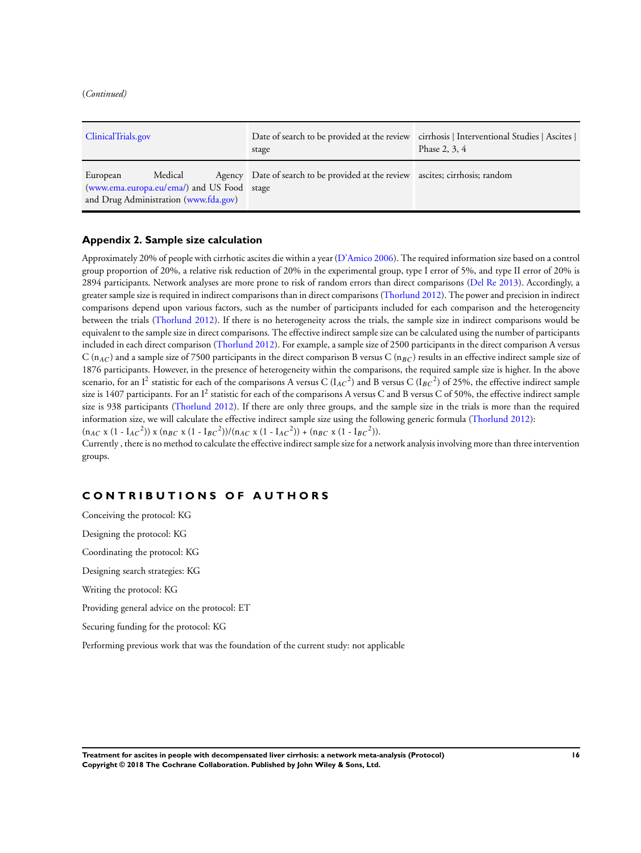<span id="page-17-0"></span>(*Continued)*

| ClinicalTrials.gov                                                                                         | stage                                                                         | Date of search to be provided at the review cirrhosis   Interventional Studies   Ascites  <br>Phase 2, 3, 4 |
|------------------------------------------------------------------------------------------------------------|-------------------------------------------------------------------------------|-------------------------------------------------------------------------------------------------------------|
| Medical<br>European<br>(www.ema.europa.eu/ema/) and US Food stage<br>and Drug Administration (www.fda.gov) | Agency Date of search to be provided at the review ascites; cirrhosis; random |                                                                                                             |

### **Appendix 2. Sample size calculation**

Approximately 20% of people with cirrhotic ascites die within a year [\(D'Amico 2006](#page-11-0)). The required information size based on a control group proportion of 20%, a relative risk reduction of 20% in the experimental group, type I error of 5%, and type II error of 20% is 2894 participants. Network analyses are more prone to risk of random errors than direct comparisons [\(Del Re 2013](#page-11-0)). Accordingly, a greater sample size is required in indirect comparisons than in direct comparisons ([Thorlund 2012\)](#page-11-0). The power and precision in indirect comparisons depend upon various factors, such as the number of participants included for each comparison and the heterogeneity between the trials ([Thorlund 2012\)](#page-11-0). If there is no heterogeneity across the trials, the sample size in indirect comparisons would be equivalent to the sample size in direct comparisons. The effective indirect sample size can be calculated using the number of participants included in each direct comparison ([Thorlund 2012\)](#page-11-0). For example, a sample size of 2500 participants in the direct comparison A versus C (n<sub>AC</sub>) and a sample size of 7500 participants in the direct comparison B versus C (n<sub>BC</sub>) results in an effective indirect sample size of 1876 participants. However, in the presence of heterogeneity within the comparisons, the required sample size is higher. In the above scenario, for an I<sup>2</sup> statistic for each of the comparisons A versus C (I<sub>AC</sub><sup>2</sup>) and B versus C (I<sub>BC</sub><sup>2</sup>) of 25%, the effective indirect sample size is 1407 participants. For an I<sup>2</sup> statistic for each of the comparisons A versus C and B versus C of 50%, the effective indirect sample size is 938 participants [\(Thorlund 2012\)](#page-11-0). If there are only three groups, and the sample size in the trials is more than the required information size, we will calculate the effective indirect sample size using the following generic formula ([Thorlund 2012](#page-11-0)):  $(n_{AC} x (1 - I_{AC}^2)) x (n_{BC} x (1 - I_{BC}^2)) / (n_{AC} x (1 - I_{AC}^2)) + (n_{BC} x (1 - I_{BC}^2)).$ 

Currently , there is no method to calculate the effective indirect sample size for a network analysis involving more than three intervention groups.

# **C O N T R I B U T I O N S O F A U T H O R S**

Conceiving the protocol: KG Designing the protocol: KG Coordinating the protocol: KG Designing search strategies: KG Writing the protocol: KG Providing general advice on the protocol: ET Securing funding for the protocol: KG Performing previous work that was the foundation of the current study: not applicable

**Treatment for ascites in people with decompensated liver cirrhosis: a network meta-analysis (Protocol) 16 Copyright © 2018 The Cochrane Collaboration. Published by John Wiley & Sons, Ltd.**